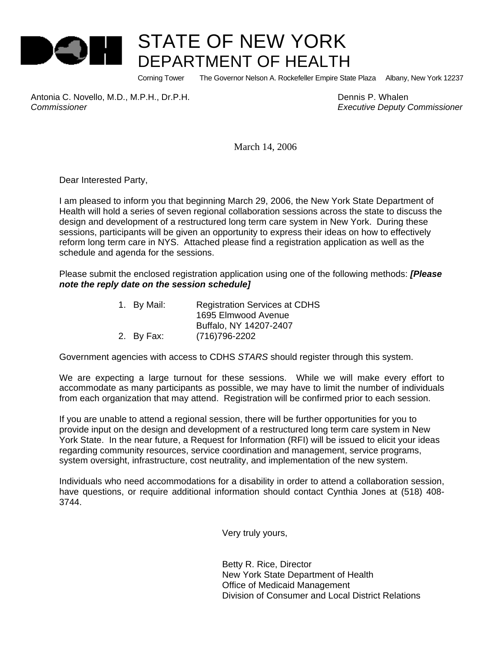

# STATE OF NEW YORK DEPARTMENT OF HEALTH

Corning Tower The Governor Nelson A. Rockefeller Empire State Plaza Albany, New York 12237

Antonia C. Novello, M.D., M.P.H., Dr.P.H. **Britannic P. Antonia C. Whalen** Dennis P. Whalen *Commissioner Executive Deputy Commissioner*

March 14, 2006

Dear Interested Party,

I am pleased to inform you that beginning March 29, 2006, the New York State Department of Health will hold a series of seven regional collaboration sessions across the state to discuss the design and development of a restructured long term care system in New York. During these sessions, participants will be given an opportunity to express their ideas on how to effectively reform long term care in NYS. Attached please find a registration application as well as the schedule and agenda for the sessions.

Please submit the enclosed registration application using one of the following methods: *[Please note the reply date on the session schedule]*

| 1. By Mail: | <b>Registration Services at CDHS</b> |
|-------------|--------------------------------------|
|             | 1695 Elmwood Avenue                  |
|             | Buffalo, NY 14207-2407               |
| 2. By Fax:  | (716)796-2202                        |

Government agencies with access to CDHS *STARS* should register through this system.

We are expecting a large turnout for these sessions. While we will make every effort to accommodate as many participants as possible, we may have to limit the number of individuals from each organization that may attend. Registration will be confirmed prior to each session.

If you are unable to attend a regional session, there will be further opportunities for you to provide input on the design and development of a restructured long term care system in New York State. In the near future, a Request for Information (RFI) will be issued to elicit your ideas regarding community resources, service coordination and management, service programs, system oversight, infrastructure, cost neutrality, and implementation of the new system.

Individuals who need accommodations for a disability in order to attend a collaboration session, have questions, or require additional information should contact Cynthia Jones at (518) 408- 3744.

Very truly yours,

Betty R. Rice, Director New York State Department of Health Office of Medicaid Management Division of Consumer and Local District Relations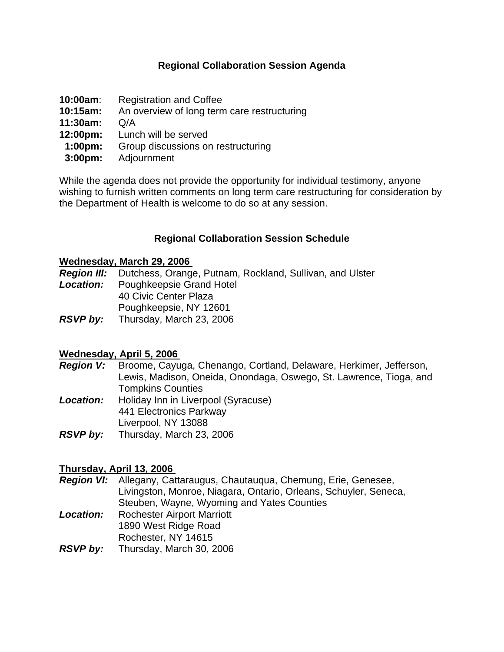# **Regional Collaboration Session Agenda**

- **10:00am**: Registration and Coffee
- **10:15am:** An overview of long term care restructuring
- **11:30am:** Q/A
- **12:00pm:** Lunch will be served
- **1:00pm:** Group discussions on restructuring
- **3:00pm:** Adjournment

While the agenda does not provide the opportunity for individual testimony, anyone wishing to furnish written comments on long term care restructuring for consideration by the Department of Health is welcome to do so at any session.

# **Regional Collaboration Session Schedule**

### **Wednesday, March 29, 2006**

*Region III:* Dutchess, Orange, Putnam, Rockland, Sullivan, and Ulster *Location:* Poughkeepsie Grand Hotel 40 Civic Center Plaza Poughkeepsie, NY 12601 *RSVP by:* Thursday, March 23, 2006

### **Wednesday, April 5, 2006**

*Region V:* Broome, Cayuga, Chenango, Cortland, Delaware, Herkimer, Jefferson, Lewis, Madison, Oneida, Onondaga, Oswego, St. Lawrence, Tioga, and Tompkins Counties

*Location:* Holiday Inn in Liverpool (Syracuse) 441 Electronics Parkway Liverpool, NY 13088

*RSVP by:* Thursday, March 23, 2006

# **Thursday, April 13, 2006**

*Region VI:* Allegany, Cattaraugus, Chautauqua, Chemung, Erie, Genesee, Livingston, Monroe, Niagara, Ontario, Orleans, Schuyler, Seneca, Steuben, Wayne, Wyoming and Yates Counties

*Location:* Rochester Airport Marriott 1890 West Ridge Road Rochester, NY 14615

*RSVP by:* Thursday, March 30, 2006